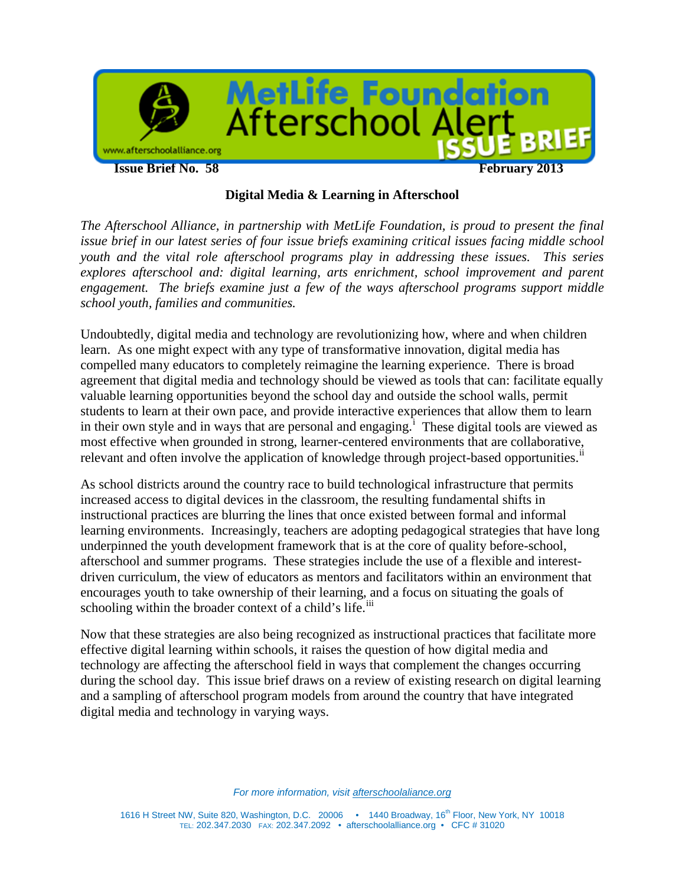

## **Digital Media & Learning in Afterschool**

*The Afterschool Alliance, in partnership with MetLife Foundation, is proud to present the final issue brief in our latest series of four issue briefs examining critical issues facing middle school youth and the vital role afterschool programs play in addressing these issues. This series explores afterschool and: digital learning, arts enrichment, school improvement and parent engagement. The briefs examine just a few of the ways afterschool programs support middle school youth, families and communities.*

Undoubtedly, digital media and technology are revolutionizing how, where and when children learn. As one might expect with any type of transformative innovation, digital media has compelled many educators to completely reimagine the learning experience. There is broad agreement that digital media and technology should be viewed as tools that can: facilitate equally valuable learning opportunities beyond the school day and outside the school walls, permit students to learn at their own pace, and provide interactive experiences that allow them to learn [i](#page-7-0)n their own style and in ways that are personal and engaging.<sup>1</sup> These digital tools are viewed as most effective when grounded in strong, learner-centered environments that are collaborative, relevant and often involve the application of knowledge through project-based opportunities.<sup>[ii](#page-7-1)</sup>

As school districts around the country race to build technological infrastructure that permits increased access to digital devices in the classroom, the resulting fundamental shifts in instructional practices are blurring the lines that once existed between formal and informal learning environments. Increasingly, teachers are adopting pedagogical strategies that have long underpinned the youth development framework that is at the core of quality before-school, afterschool and summer programs. These strategies include the use of a flexible and interestdriven curriculum, the view of educators as mentors and facilitators within an environment that encourages youth to take ownership of their learning, and a focus on situating the goals of schooling within the broader context of a child's life.<sup>[iii](#page-7-2)</sup>

Now that these strategies are also being recognized as instructional practices that facilitate more effective digital learning within schools, it raises the question of how digital media and technology are affecting the afterschool field in ways that complement the changes occurring during the school day. This issue brief draws on a review of existing research on digital learning and a sampling of afterschool program models from around the country that have integrated digital media and technology in varying ways.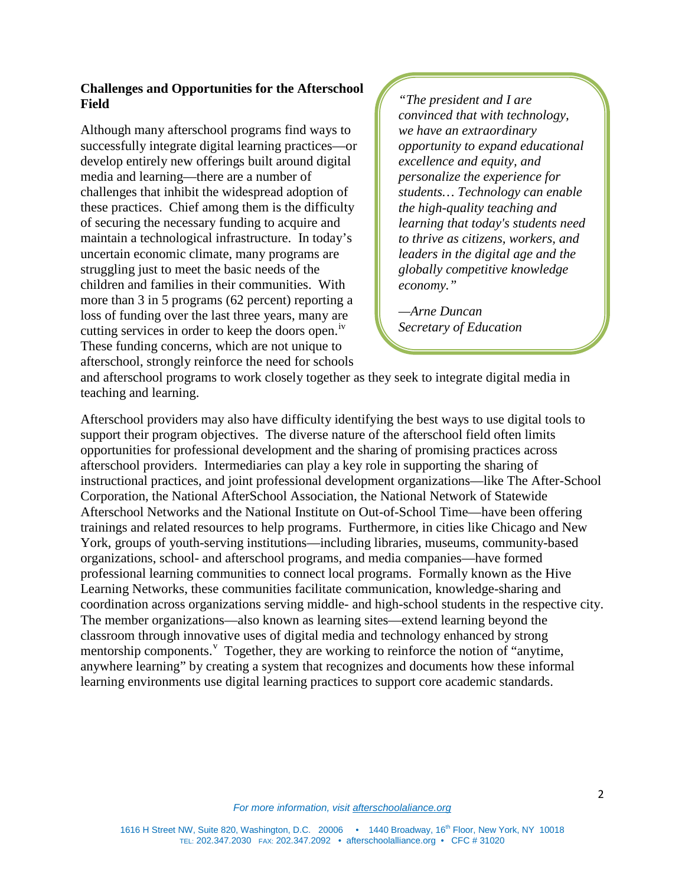## **Challenges and Opportunities for the Afterschool Field**

Although many afterschool programs find ways to successfully integrate digital learning practices—or develop entirely new offerings built around digital media and learning—there are a number of challenges that inhibit the widespread adoption of these practices. Chief among them is the difficulty of securing the necessary funding to acquire and maintain a technological infrastructure. In today's uncertain economic climate, many programs are struggling just to meet the basic needs of the children and families in their communities. With more than 3 in 5 programs (62 percent) reporting a loss of funding over the last three years, many are cutting services in order to keep the doors open. [iv](#page-7-3) These funding concerns, which are not unique to afterschool, strongly reinforce the need for schools

*"The president and I are convinced that with technology, we have an extraordinary opportunity to expand educational excellence and equity, and personalize the experience for students… Technology can enable the high-quality teaching and learning that today's students need to thrive as citizens, workers, and leaders in the digital age and the globally competitive knowledge economy."*

*—Arne Duncan Secretary of Education*

and afterschool programs to work closely together as they seek to integrate digital media in teaching and learning.

Afterschool providers may also have difficulty identifying the best ways to use digital tools to support their program objectives. The diverse nature of the afterschool field often limits opportunities for professional development and the sharing of promising practices across afterschool providers. Intermediaries can play a key role in supporting the sharing of instructional practices, and joint professional development organizations—like The After-School Corporation, the National AfterSchool Association, the National Network of Statewide Afterschool Networks and the National Institute on Out-of-School Time—have been offering trainings and related resources to help programs. Furthermore, in cities like Chicago and New York, groups of youth-serving institutions—including libraries, museums, community-based organizations, school- and afterschool programs, and media companies—have formed professional learning communities to connect local programs. Formally known as the Hive Learning Networks, these communities facilitate communication, knowledge-sharing and coordination across organizations serving middle- and high-school students in the respective city. The member organizations—also known as learning sites—extend learning beyond the classroom through innovative uses of digital media and technology enhanced by strong mentorship components.<sup>[v](#page-7-4)</sup> Together, they are working to reinforce the notion of "anytime, anywhere learning" by creating a system that recognizes and documents how these informal learning environments use digital learning practices to support core academic standards.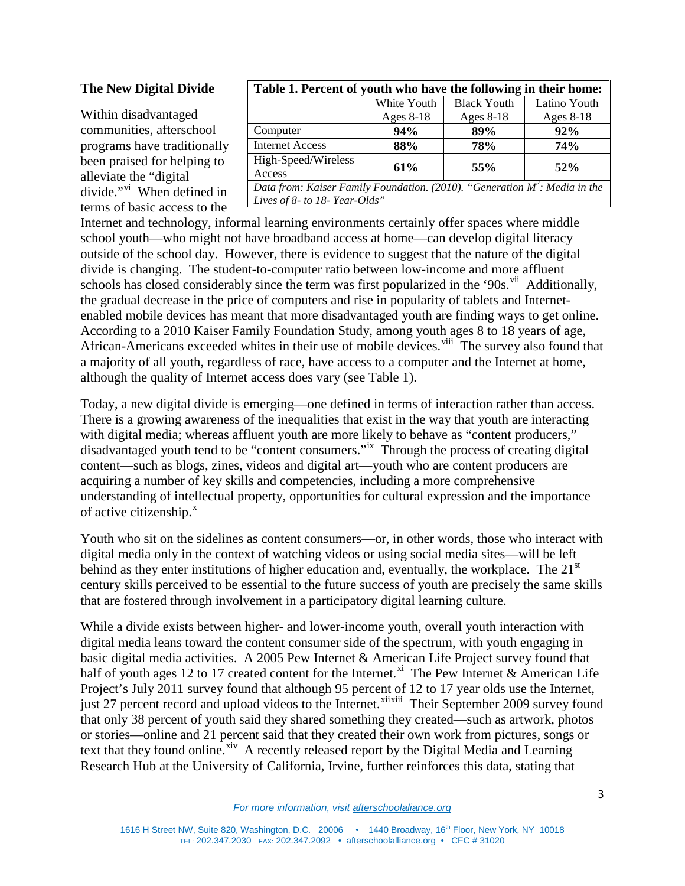#### **The New Digital Divide**

Within disadvantaged communities, afterschool programs have traditionally been praised for helping to alleviate the "digital di[vi](#page-7-5)de."<sup>vi</sup> When defined in terms of basic access to the

| Table 1. Percent of youth who have the following in their home:               |             |                    |              |
|-------------------------------------------------------------------------------|-------------|--------------------|--------------|
|                                                                               | White Youth | <b>Black Youth</b> | Latino Youth |
|                                                                               | Ages 8-18   | Ages 8-18          | Ages 8-18    |
| Computer                                                                      | 94%         | 89%                | 92%          |
| <b>Internet Access</b>                                                        | 88%         | 78%                | 74%          |
| High-Speed/Wireless                                                           | 61%         | 55%                | $52\%$       |
| Access                                                                        |             |                    |              |
| Data from: Kaiser Family Foundation. (2010). "Generation $M^2$ : Media in the |             |                    |              |
| Lives of 8- to 18- Year-Olds"                                                 |             |                    |              |

Internet and technology, informal learning environments certainly offer spaces where middle school youth—who might not have broadband access at home—can develop digital literacy outside of the school day. However, there is evidence to suggest that the nature of the digital divide is changing. The student-to-computer ratio between low-income and more affluent schools has closed considerably since the term was first popularized in the '90s.<sup>[vii](#page-7-6)</sup> Additionally, the gradual decrease in the price of computers and rise in popularity of tablets and Internetenabled mobile devices has meant that more disadvantaged youth are finding ways to get online. According to a 2010 Kaiser Family Foundation Study, among youth ages 8 to 18 years of age, African-Americans exceeded whites in their use of mobile devices. Vill The survey also found that a majority of all youth, regardless of race, have access to a computer and the Internet at home, although the quality of Internet access does vary (see Table 1).

Today, a new digital divide is emerging—one defined in terms of interaction rather than access. There is a growing awareness of the inequalities that exist in the way that youth are interacting with digital media; whereas affluent youth are more likely to behave as "content producers," disadvantaged youth tend to be "content consumers."<sup>ix</sup> Through the process of creating digital content—such as blogs, zines, videos and digital art—youth who are content producers are acquiring a number of key skills and competencies, including a more comprehensive understanding of intellectual property, opportunities for cultural expression and the importance of active citizenship. $^x$  $^x$ 

Youth who sit on the sidelines as content consumers—or, in other words, those who interact with digital media only in the context of watching videos or using social media sites—will be left behind as they enter institutions of higher education and, eventually, the workplace. The  $21<sup>st</sup>$ century skills perceived to be essential to the future success of youth are precisely the same skills that are fostered through involvement in a participatory digital learning culture.

While a divide exists between higher- and lower-income youth, overall youth interaction with digital media leans toward the content consumer side of the spectrum, with youth engaging in basic digital media activities. A 2005 Pew Internet & American Life Project survey found that half of youth ages 12 to 17 created content for the Internet.<sup>[xi](#page-7-10)</sup> The Pew Internet & American Life Project's July 2011 survey found that although 95 percent of 12 to 17 year olds use the Internet, just 27 percent record and upload videos to the Internet.<sup>[xii](#page-7-11)[xiii](#page-7-12)</sup> Their September 2009 survey found that only 38 percent of youth said they shared something they created—such as artwork, photos or stories—online and 21 percent said that they created their own work from pictures, songs or text that they found online.<sup>[xiv](#page-7-13)</sup> A recently released report by the Digital Media and Learning Research Hub at the University of California, Irvine, further reinforces this data, stating that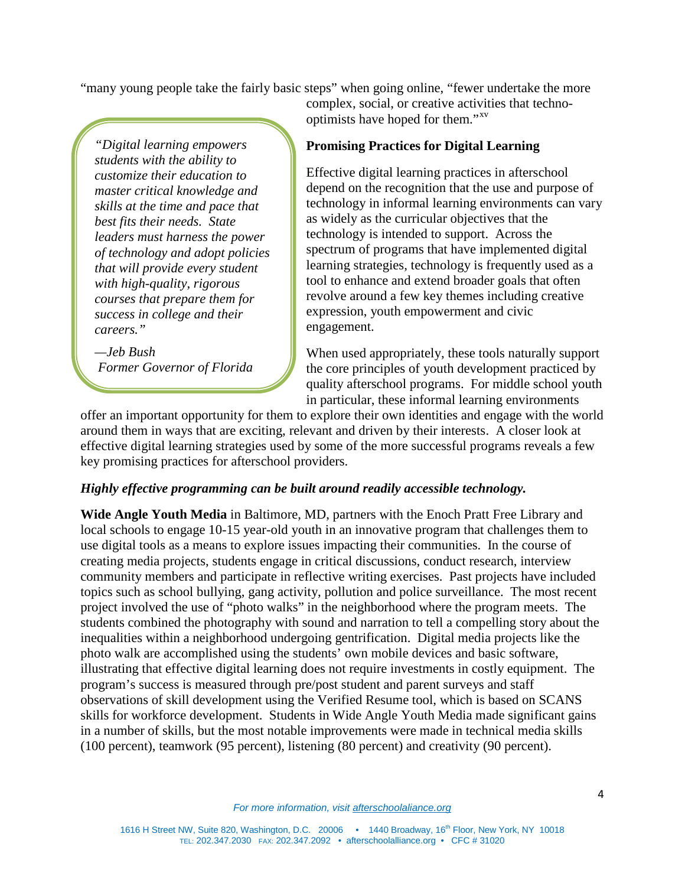"many young people take the fairly basic steps" when going online, "fewer undertake the more

*"Digital learning empowers students with the ability to customize their education to master critical knowledge and skills at the time and pace that best fits their needs. State leaders must harness the power of technology and adopt policies that will provide every student with high-quality, rigorous courses that prepare them for success in college and their careers."*

*—Jeb Bush Former Governor of Florida* complex, social, or creative activities that technooptimists have hoped for them."[xv](#page-7-14) 

## **Promising Practices for Digital Learning**

Effective digital learning practices in afterschool depend on the recognition that the use and purpose of technology in informal learning environments can vary as widely as the curricular objectives that the technology is intended to support. Across the spectrum of programs that have implemented digital learning strategies, technology is frequently used as a tool to enhance and extend broader goals that often revolve around a few key themes including creative expression, youth empowerment and civic engagement.

When used appropriately, these tools naturally support the core principles of youth development practiced by quality afterschool programs. For middle school youth in particular, these informal learning environments

offer an important opportunity for them to explore their own identities and engage with the world around them in ways that are exciting, relevant and driven by their interests. A closer look at effective digital learning strategies used by some of the more successful programs reveals a few key promising practices for afterschool providers.

#### *Highly effective programming can be built around readily accessible technology.*

**Wide Angle Youth Media** in Baltimore, MD, partners with the Enoch Pratt Free Library and local schools to engage 10-15 year-old youth in an innovative program that challenges them to use digital tools as a means to explore issues impacting their communities. In the course of creating media projects, students engage in critical discussions, conduct research, interview community members and participate in reflective writing exercises. Past projects have included topics such as school bullying, gang activity, pollution and police surveillance. The most recent project involved the use of "photo walks" in the neighborhood where the program meets. The students combined the photography with sound and narration to tell a compelling story about the inequalities within a neighborhood undergoing gentrification. Digital media projects like the photo walk are accomplished using the students' own mobile devices and basic software, illustrating that effective digital learning does not require investments in costly equipment. The program's success is measured through pre/post student and parent surveys and staff observations of skill development using the Verified Resume tool, which is based on SCANS skills for workforce development. Students in Wide Angle Youth Media made significant gains in a number of skills, but the most notable improvements were made in technical media skills (100 percent), teamwork (95 percent), listening (80 percent) and creativity (90 percent).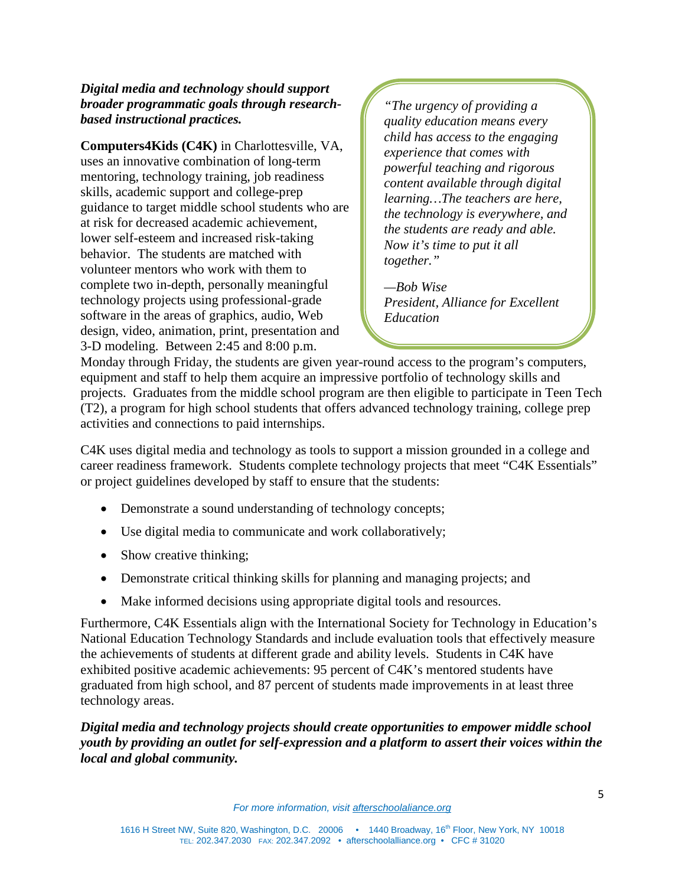## *Digital media and technology should support broader programmatic goals through researchbased instructional practices.*

**Computers4Kids (C4K)** in Charlottesville, VA, uses an innovative combination of long-term mentoring, technology training, job readiness skills, academic support and college-prep guidance to target middle school students who are at risk for decreased academic achievement, lower self-esteem and increased risk-taking behavior. The students are matched with volunteer mentors who work with them to complete two in-depth, personally meaningful technology projects using professional-grade software in the areas of graphics, audio, Web design, video, animation, print, presentation and 3-D modeling. Between 2:45 and 8:00 p.m.

*"The urgency of providing a quality education means every child has access to the engaging experience that comes with powerful teaching and rigorous content available through digital learning…The teachers are here, the technology is everywhere, and the students are ready and able. Now it's time to put it all together."*

*—Bob Wise President, Alliance for Excellent Education* 

Monday through Friday, the students are given year-round access to the program's computers, equipment and staff to help them acquire an impressive portfolio of technology skills and projects. Graduates from the middle school program are then eligible to participate in Teen Tech (T2), a program for high school students that offers advanced technology training, college prep activities and connections to paid internships.

C4K uses digital media and technology as tools to support a mission grounded in a college and career readiness framework. Students complete technology projects that meet "C4K Essentials" or project guidelines developed by staff to ensure that the students:

- Demonstrate a sound understanding of technology concepts;
- Use digital media to communicate and work collaboratively;
- Show creative thinking;
- Demonstrate critical thinking skills for planning and managing projects; and
- Make informed decisions using appropriate digital tools and resources.

Furthermore, C4K Essentials align with the International Society for Technology in Education's National Education Technology Standards and include evaluation tools that effectively measure the achievements of students at different grade and ability levels. Students in C4K have exhibited positive academic achievements: 95 percent of C4K's mentored students have graduated from high school, and 87 percent of students made improvements in at least three technology areas.

*Digital media and technology projects should create opportunities to empower middle school youth by providing an outlet for self-expression and a platform to assert their voices within the local and global community.*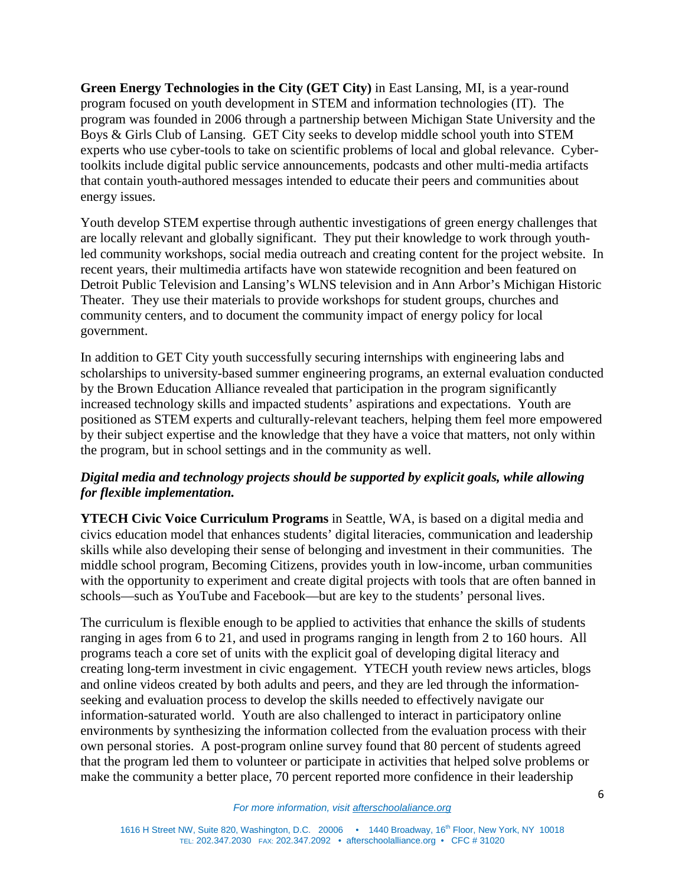**Green Energy Technologies in the City (GET City)** in East Lansing, MI, is a year-round program focused on youth development in STEM and information technologies (IT). The program was founded in 2006 through a partnership between Michigan State University and the Boys & Girls Club of Lansing. GET City seeks to develop middle school youth into STEM experts who use cyber-tools to take on scientific problems of local and global relevance. Cybertoolkits include digital public service announcements, podcasts and other multi-media artifacts that contain youth-authored messages intended to educate their peers and communities about energy issues.

Youth develop STEM expertise through authentic investigations of green energy challenges that are locally relevant and globally significant. They put their knowledge to work through youthled community workshops, social media outreach and creating content for the project website. In recent years, their multimedia artifacts have won statewide recognition and been featured on Detroit Public Television and Lansing's WLNS television and in Ann Arbor's Michigan Historic Theater. They use their materials to provide workshops for student groups, churches and community centers, and to document the community impact of energy policy for local government.

In addition to GET City youth successfully securing internships with engineering labs and scholarships to university-based summer engineering programs, an external evaluation conducted by the Brown Education Alliance revealed that participation in the program significantly increased technology skills and impacted students' aspirations and expectations. Youth are positioned as STEM experts and culturally-relevant teachers, helping them feel more empowered by their subject expertise and the knowledge that they have a voice that matters, not only within the program, but in school settings and in the community as well.

# *Digital media and technology projects should be supported by explicit goals, while allowing for flexible implementation.*

**YTECH Civic Voice Curriculum Programs** in Seattle, WA, is based on a digital media and civics education model that enhances students' digital literacies, communication and leadership skills while also developing their sense of belonging and investment in their communities. The middle school program, Becoming Citizens, provides youth in low-income, urban communities with the opportunity to experiment and create digital projects with tools that are often banned in schools—such as YouTube and Facebook—but are key to the students' personal lives.

The curriculum is flexible enough to be applied to activities that enhance the skills of students ranging in ages from 6 to 21, and used in programs ranging in length from 2 to 160 hours. All programs teach a core set of units with the explicit goal of developing digital literacy and creating long-term investment in civic engagement. YTECH youth review news articles, blogs and online videos created by both adults and peers, and they are led through the informationseeking and evaluation process to develop the skills needed to effectively navigate our information-saturated world. Youth are also challenged to interact in participatory online environments by synthesizing the information collected from the evaluation process with their own personal stories. A post-program online survey found that 80 percent of students agreed that the program led them to volunteer or participate in activities that helped solve problems or make the community a better place, 70 percent reported more confidence in their leadership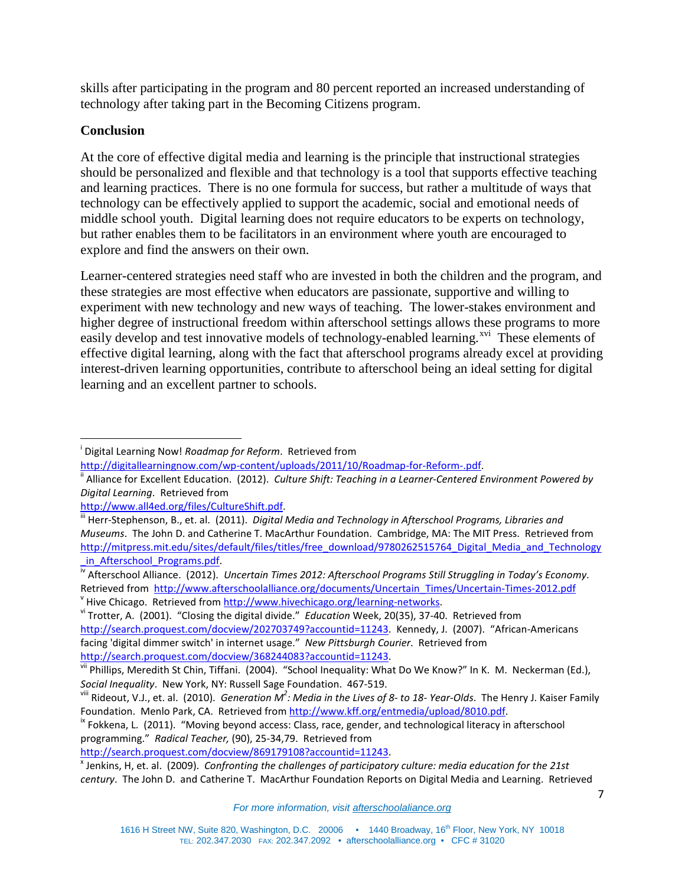skills after participating in the program and 80 percent reported an increased understanding of technology after taking part in the Becoming Citizens program.

# **Conclusion**

At the core of effective digital media and learning is the principle that instructional strategies should be personalized and flexible and that technology is a tool that supports effective teaching and learning practices. There is no one formula for success, but rather a multitude of ways that technology can be effectively applied to support the academic, social and emotional needs of middle school youth. Digital learning does not require educators to be experts on technology, but rather enables them to be facilitators in an environment where youth are encouraged to explore and find the answers on their own.

Learner-centered strategies need staff who are invested in both the children and the program, and these strategies are most effective when educators are passionate, supportive and willing to experiment with new technology and new ways of teaching. The lower-stakes environment and higher degree of instructional freedom within afterschool settings allows these programs to more easily develop and test innovative models of technology-enabled learning.<sup>[xvi](#page-7-15)</sup> These elements of effective digital learning, along with the fact that afterschool programs already excel at providing interest-driven learning opportunities, contribute to afterschool being an ideal setting for digital learning and an excellent partner to schools.

<sup>v</sup> Hive Chicago. Retrieved from http://www.hivechicago.org/learning-networks.<br><sup>vi</sup> Trotter, A. (2001). "Closing the digital divide." *Education* Week, 20(35), 37-40. Retrieved from [http://search.proquest.com/docview/202703749?accountid=11243.](http://search.proquest.com/docview/202703749?accountid=11243) Kennedy, J. (2007). "African-Americans facing 'digital dimmer switch' in internet usage." *New Pittsburgh Courier*. Retrieved from http://search.proquest.com/docview/368244083?accountid=11243.<br>vii Phillips, Meredith St Chin, Tiffani. (2004). "School Inequality: What Do We Know?" In K. M. Neckerman (Ed.),

programming." *Radical Teacher,* (90), 25-34,79. Retrieved from

i Digital Learning Now! *Roadmap for Reform*. Retrieved from

http://digitallearningnow.com/wp-content/uploads/2011/10/Roadmap-for-Reform-.pdf.<br><sup>ii</sup> Alliance for Excellent Education. (2012). *Culture Shift: Teaching in a Learner-Centered Environment Powered by Digital Learning*. Retrieved from

[http://www.all4ed.org/files/CultureShift.pdf.](http://www.all4ed.org/files/CultureShift.pdf)<br><sup>[iii](http://www.all4ed.org/files/CultureShift.pdf)</sup> Herr-Stephenson, B., et. al. (2011). *Digital Media and Technology in Afterschool Programs, Libraries and Museums*. The John D. and Catherine T. MacArthur Foundation. Cambridge, MA: The MIT Press. Retrieved from [http://mitpress.mit.edu/sites/default/files/titles/free\\_download/9780262515764\\_Digital\\_Media\\_and\\_Technology](http://mitpress.mit.edu/sites/default/files/titles/free_download/9780262515764_Digital_Media_and_Technology_in_Afterschool_Programs.pdf) [\\_in\\_Afterschool\\_Programs.pdf. iv](http://mitpress.mit.edu/sites/default/files/titles/free_download/9780262515764_Digital_Media_and_Technology_in_Afterschool_Programs.pdf) Afterschool Alliance. (2012). *Uncertain Times 2012: Afterschool Programs Still Struggling in Today's Economy*.

Retrieved from [http://www.afterschoolalliance.org/documents/Uncertain\\_Times/Uncertain-Times-2012.pdf](http://www.afterschoolalliance.org/documents/Uncertain_Times/Uncertain-Times-2012.pdf)

*Social Inequality*. New York, NY: Russell Sage Foundation. 467-519.

viii Rideout, V.J., et. al. (2010). *Generation M<sup>2</sup> : Media in the Lives of 8- to 18- Year-Olds*. The Henry J. Kaiser Family Foundation. Menlo Park, CA. Retrieved fro[m http://www.kff.org/entmedia/upload/8010.pdf.](http://www.kff.org/entmedia/upload/8010.pdf)<br><sup>ix</sup> Fokkena, L. (2011). "Moving beyond access: Class, race, gender, and technological literacy in afterschool

http://search.proquest.com/docview/869179108?accountid=11243.<br><sup>x</sup> Jenkins, H, et. al. (2009). *Confronting the challenges of participatory culture: media education for the 21st century*. The John D. and Catherine T. MacArthur Foundation Reports on Digital Media and Learning. Retrieved